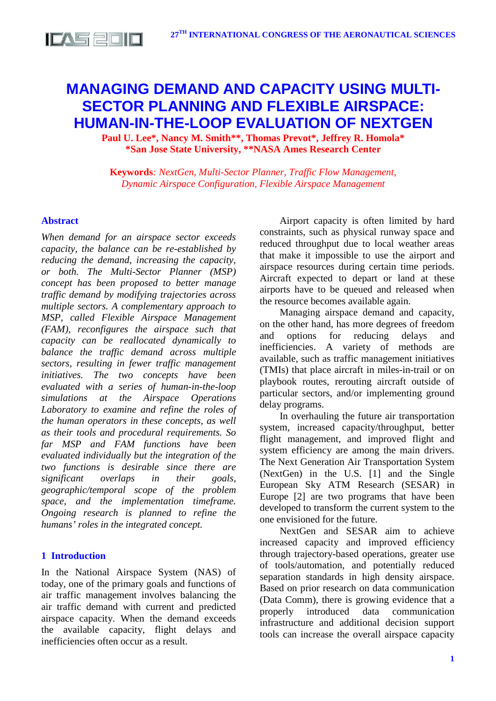

# **MANAGING DEMAND AND CAPACITY USING MULTI-SECTOR PLANNING AND FLEXIBLE AIRSPACE: HUMAN-IN-THE-LOOP EVALUATION OF NEXTGEN**

**Paul U. Lee\*, Nancy M. Smith\*\*, Thomas Prevot\*, Jeffrey R. Homola\* \*San Jose State University, \*\*NASA Ames Research Center**

**Keywords***: NextGen, Multi-Sector Planner, Traffic Flow Management, Dynamic Airspace Configuration, Flexible Airspace Management*

### **Abstract**

*When demand for an airspace sector exceeds capacity, the balance can be re-established by reducing the demand, increasing the capacity, or both. The Multi-Sector Planner (MSP) concept has been proposed to better manage traffic demand by modifying trajectories across multiple sectors. A complementary approach to MSP, called Flexible Airspace Management (FAM), reconfigures the airspace such that capacity can be reallocated dynamically to balance the traffic demand across multiple sectors, resulting in fewer traffic management initiatives. The two concepts have been evaluated with a series of human-in-the-loop simulations at the Airspace Operations Laboratory to examine and refine the roles of the human operators in these concepts, as well as their tools and procedural requirements. So far MSP and FAM functions have been evaluated individually but the integration of the two functions is desirable since there are significant overlaps in their goals, geographic/temporal scope of the problem space, and the implementation timeframe. Ongoing research is planned to refine the humans' roles in the integrated concept.*

# **1 Introduction**

In the National Airspace System (NAS) of today, one of the primary goals and functions of air traffic management involves balancing the air traffic demand with current and predicted airspace capacity. When the demand exceeds the available capacity, flight delays and inefficiencies often occur as a result.

Airport capacity is often limited by hard constraints, such as physical runway space and reduced throughput due to local weather areas that make it impossible to use the airport and airspace resources during certain time periods. Aircraft expected to depart or land at these airports have to be queued and released when the resource becomes available again.

Managing airspace demand and capacity, on the other hand, has more degrees of freedom and options for reducing delays and inefficiencies. A variety of methods are available, such as traffic management initiatives (TMIs) that place aircraft in miles-in-trail or on playbook routes, rerouting aircraft outside of particular sectors, and/or implementing ground delay programs.

In overhauling the future air transportation system, increased capacity/throughput, better flight management, and improved flight and system efficiency are among the main drivers. The Next Generation Air Transportation System (NextGen) in the U.S. [1] and the Single European Sky ATM Research (SESAR) in Europe [2] are two programs that have been developed to transform the current system to the one envisioned for the future.

NextGen and SESAR aim to achieve increased capacity and improved efficiency through trajectory-based operations, greater use of tools/automation, and potentially reduced separation standards in high density airspace. Based on prior research on data communication (Data Comm), there is growing evidence that a properly introduced data communication infrastructure and additional decision support tools can increase the overall airspace capacity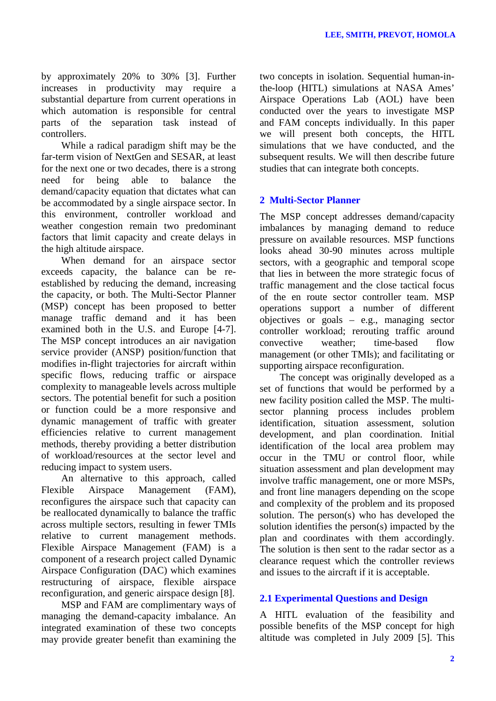by approximately 20% to 30% [3]. Further increases in productivity may require a substantial departure from current operations in which automation is responsible for central parts of the separation task instead of controllers.

While a radical paradigm shift may be the far-term vision of NextGen and SESAR, at least for the next one or two decades, there is a strong need for being able to balance the demand/capacity equation that dictates what can be accommodated by a single airspace sector. In this environment, controller workload and weather congestion remain two predominant factors that limit capacity and create delays in the high altitude airspace.

When demand for an airspace sector exceeds capacity, the balance can be reestablished by reducing the demand, increasing the capacity, or both. The Multi-Sector Planner (MSP) concept has been proposed to better manage traffic demand and it has been examined both in the U.S. and Europe [4-7]. The MSP concept introduces an air navigation service provider (ANSP) position/function that modifies in-flight trajectories for aircraft within specific flows, reducing traffic or airspace complexity to manageable levels across multiple sectors. The potential benefit for such a position or function could be a more responsive and dynamic management of traffic with greater efficiencies relative to current management methods, thereby providing a better distribution of workload/resources at the sector level and reducing impact to system users.

An alternative to this approach, called<br>Flexible Airspace Management (FAM) Airspace Management (FAM), reconfigures the airspace such that capacity can be reallocated dynamically to balance the traffic across multiple sectors, resulting in fewer TMIs relative to current management methods. Flexible Airspace Management (FAM) is a component of a research project called Dynamic Airspace Configuration (DAC) which examines restructuring of airspace, flexible airspace reconfiguration, and generic airspace design [8].

MSP and FAM are complimentary ways of managing the demand-capacity imbalance. An integrated examination of these two concepts may provide greater benefit than examining the two concepts in isolation. Sequential human-inthe-loop (HITL) simulations at NASA Ames' Airspace Operations Lab (AOL) have been conducted over the years to investigate MSP and FAM concepts individually. In this paper we will present both concepts, the HITL simulations that we have conducted, and the subsequent results. We will then describe future studies that can integrate both concepts.

# **2 Multi-Sector Planner**

The MSP concept addresses demand/capacity imbalances by managing demand to reduce pressure on available resources. MSP functions looks ahead 30-90 minutes across multiple sectors, with a geographic and temporal scope that lies in between the more strategic focus of traffic management and the close tactical focus of the en route sector controller team. MSP operations support a number of different objectives or goals – e.g., managing sector controller workload; rerouting traffic around<br>convective weather: time-based flow weather: time-based flow management (or other TMIs); and facilitating or supporting airspace reconfiguration.

The concept was originally developed as a set of functions that would be performed by a new facility position called the MSP. The multisector planning process includes problem identification, situation assessment, solution development, and plan coordination. Initial identification of the local area problem may occur in the TMU or control floor, while situation assessment and plan development may involve traffic management, one or more MSPs, and front line managers depending on the scope and complexity of the problem and its proposed solution. The person(s) who has developed the solution identifies the person(s) impacted by the plan and coordinates with them accordingly. The solution is then sent to the radar sector as a clearance request which the controller reviews and issues to the aircraft if it is acceptable.

### **2.1 Experimental Questions and Design**

A HITL evaluation of the feasibility and possible benefits of the MSP concept for high altitude was completed in July 2009 [5]. This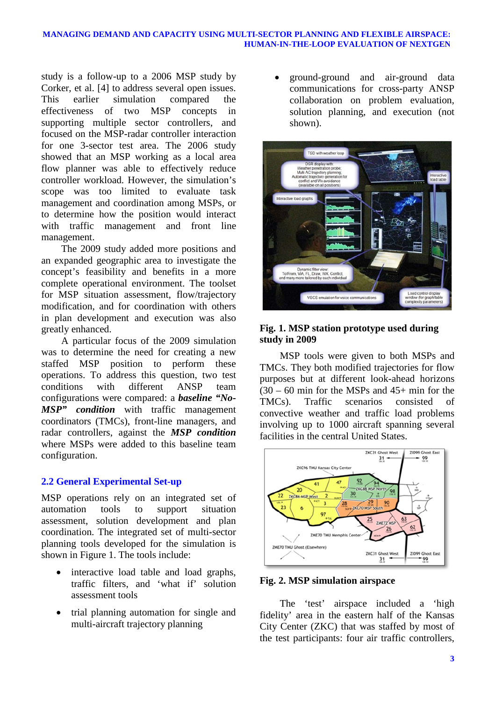### **MANAGING DEMAND AND CAPACITY USING MULTI-SECTOR PLANNING AND FLEXIBLE AIRSPACE: HUMAN-IN-THE-LOOP EVALUATION OF NEXTGEN**

study is a follow-up to a 2006 MSP study by Corker, et al. [4] to address several open issues.<br>This earlier simulation compared the This earlier simulation compared the effectiveness of two MSP concepts in supporting multiple sector controllers, and focused on the MSP-radar controller interaction for one 3-sector test area. The 2006 study showed that an MSP working as a local area flow planner was able to effectively reduce controller workload. However, the simulation's scope was too limited to evaluate task management and coordination among MSPs, or to determine how the position would interact with traffic management and front line management.

The 2009 study added more positions and an expanded geographic area to investigate the concept's feasibility and benefits in a more complete operational environment. The toolset for MSP situation assessment, flow/trajectory modification, and for coordination with others in plan development and execution was also greatly enhanced.

A particular focus of the 2009 simulation was to determine the need for creating a new staffed MSP position to perform these operations. To address this question, two test conditions with different ANSP team configurations were compared: a *baseline "No-MSP" condition* with traffic management coordinators (TMCs), front-line managers, and radar controllers, against the *MSP condition* where MSPs were added to this baseline team configuration.

### **2.2 General Experimental Set-up**

MSP operations rely on an integrated set of automation tools to support situation assessment, solution development and plan coordination. The integrated set of multi-sector planning tools developed for the simulation is shown in Figure 1. The tools include:

- interactive load table and load graphs, traffic filters, and 'what if' solution assessment tools
- trial planning automation for single and multi-aircraft trajectory planning

• ground-ground and air-ground data communications for cross-party ANSP collaboration on problem evaluation, solution planning, and execution (not shown).



### **Fig. 1. MSP station prototype used during study in 2009**

MSP tools were given to both MSPs and TMCs. They both modified trajectories for flow purposes but at different look-ahead horizons  $(30 - 60)$  min for the MSPs and 45+ min for the TMCs). Traffic scenarios consisted of convective weather and traffic load problems involving up to 1000 aircraft spanning several facilities in the central United States.



**Fig. 2. MSP simulation airspace**

The 'test' airspace included a 'high fidelity' area in the eastern half of the Kansas City Center (ZKC) that was staffed by most of the test participants: four air traffic controllers,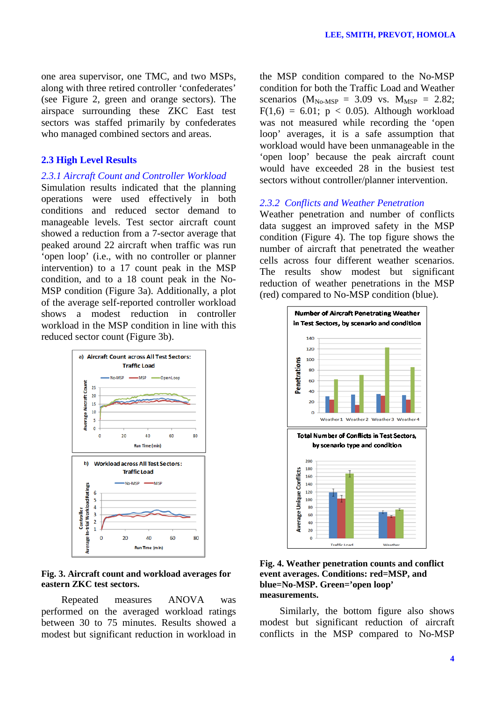one area supervisor, one TMC, and two MSPs, along with three retired controller 'confederates' (see Figure 2, green and orange sectors). The airspace surrounding these ZKC East test sectors was staffed primarily by confederates who managed combined sectors and areas.

### **2.3 High Level Results**

### *2.3.1 Aircraft Count and Controller Workload*

Simulation results indicated that the planning operations were used effectively in both conditions and reduced sector demand to manageable levels. Test sector aircraft count showed a reduction from a 7-sector average that peaked around 22 aircraft when traffic was run 'open loop' (i.e., with no controller or planner intervention) to a 17 count peak in the MSP condition, and to a 18 count peak in the No-MSP condition (Figure 3a). Additionally, a plot of the average self-reported controller workload shows a modest reduction in controller workload in the MSP condition in line with this reduced sector count (Figure 3b).



### **Fig. 3. Aircraft count and workload averages for eastern ZKC test sectors.**

Repeated measures ANOVA was performed on the averaged workload ratings between 30 to 75 minutes. Results showed a modest but significant reduction in workload in the MSP condition compared to the No-MSP condition for both the Traffic Load and Weather scenarios ( $M_{\text{No-MSP}} = 3.09$  vs.  $M_{\text{MSP}} = 2.82$ ;  $F(1,6) = 6.01$ ;  $p < 0.05$ ). Although workload was not measured while recording the 'open loop' averages, it is a safe assumption that workload would have been unmanageable in the 'open loop' because the peak aircraft count would have exceeded 28 in the busiest test sectors without controller/planner intervention.

### *2.3.2 Conflicts and Weather Penetration*

Weather penetration and number of conflicts data suggest an improved safety in the MSP condition (Figure 4). The top figure shows the number of aircraft that penetrated the weather cells across four different weather scenarios. The results show modest but significant reduction of weather penetrations in the MSP (red) compared to No-MSP condition (blue).



**Fig. 4. Weather penetration counts and conflict event averages. Conditions: red=MSP, and blue=No-MSP. Green='open loop' measurements.** 

Similarly, the bottom figure also shows modest but significant reduction of aircraft conflicts in the MSP compared to No-MSP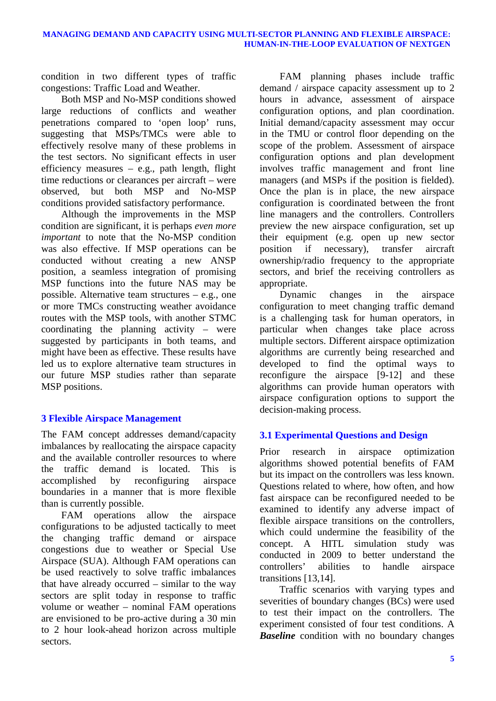condition in two different types of traffic congestions: Traffic Load and Weather.

Both MSP and No-MSP conditions showed large reductions of conflicts and weather penetrations compared to 'open loop' runs, suggesting that MSPs/TMCs were able to effectively resolve many of these problems in the test sectors. No significant effects in user efficiency measures  $-$  e.g., path length, flight time reductions or clearances per aircraft – were observed, but both MSP and No-MSP conditions provided satisfactory performance.

Although the improvements in the MSP condition are significant, it is perhaps *even more important* to note that the No-MSP condition was also effective. If MSP operations can be conducted without creating a new ANSP position, a seamless integration of promising MSP functions into the future NAS may be possible. Alternative team structures – e.g., one or more TMCs constructing weather avoidance routes with the MSP tools, with another STMC coordinating the planning activity – were suggested by participants in both teams, and might have been as effective. These results have led us to explore alternative team structures in our future MSP studies rather than separate MSP positions.

# **3 Flexible Airspace Management**

The FAM concept addresses demand/capacity imbalances by reallocating the airspace capacity and the available controller resources to where the traffic demand is located. This is accomplished by reconfiguring airspace boundaries in a manner that is more flexible than is currently possible.

FAM operations allow the airspace configurations to be adjusted tactically to meet the changing traffic demand or airspace congestions due to weather or Special Use Airspace (SUA). Although FAM operations can be used reactively to solve traffic imbalances that have already occurred – similar to the way sectors are split today in response to traffic volume or weather – nominal FAM operations are envisioned to be pro-active during a 30 min to 2 hour look-ahead horizon across multiple sectors.

FAM planning phases include traffic demand / airspace capacity assessment up to 2 hours in advance, assessment of airspace configuration options, and plan coordination. Initial demand/capacity assessment may occur in the TMU or control floor depending on the scope of the problem. Assessment of airspace configuration options and plan development involves traffic management and front line managers (and MSPs if the position is fielded). Once the plan is in place, the new airspace configuration is coordinated between the front line managers and the controllers. Controllers preview the new airspace configuration, set up their equipment (e.g. open up new sector position if necessary), transfer aircraft ownership/radio frequency to the appropriate sectors, and brief the receiving controllers as appropriate.

Dynamic changes in the airspace configuration to meet changing traffic demand is a challenging task for human operators, in particular when changes take place across multiple sectors. Different airspace optimization algorithms are currently being researched and developed to find the optimal ways to reconfigure the airspace [9-12] and these algorithms can provide human operators with airspace configuration options to support the decision-making process.

# **3.1 Experimental Questions and Design**

Prior research in airspace optimization algorithms showed potential benefits of FAM but its impact on the controllers was less known. Questions related to where, how often, and how fast airspace can be reconfigured needed to be examined to identify any adverse impact of flexible airspace transitions on the controllers, which could undermine the feasibility of the concept. A HITL simulation study was conducted in 2009 to better understand the controllers' abilities to handle airspace transitions [13,14].

Traffic scenarios with varying types and severities of boundary changes (BCs) were used to test their impact on the controllers. The experiment consisted of four test conditions. A **Baseline** condition with no boundary changes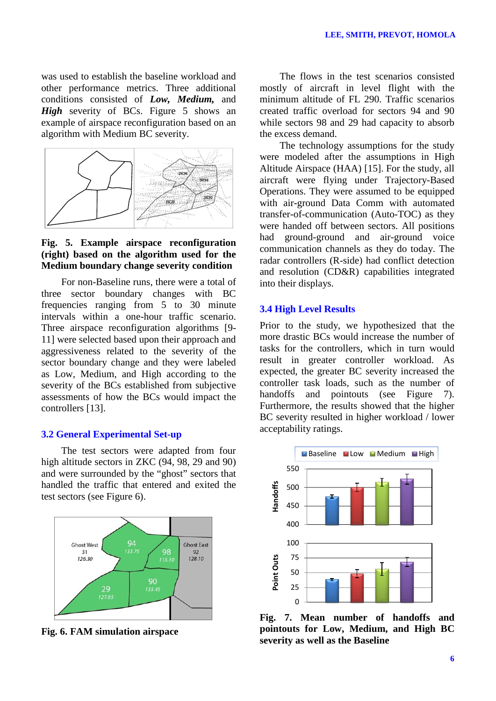was used to establish the baseline workload and other performance metrics. Three additional conditions consisted of *Low, Medium,* and *High* severity of BCs. Figure 5 shows an example of airspace reconfiguration based on an algorithm with Medium BC severity.



## **Fig. 5. Example airspace reconfiguration (right) based on the algorithm used for the Medium boundary change severity condition**

For non-Baseline runs, there were a total of three sector boundary changes with BC frequencies ranging from 5 to 30 minute intervals within a one-hour traffic scenario. Three airspace reconfiguration algorithms [9- 11] were selected based upon their approach and aggressiveness related to the severity of the sector boundary change and they were labeled as Low, Medium, and High according to the severity of the BCs established from subjective assessments of how the BCs would impact the controllers [13].

### **3.2 General Experimental Set-up**

The test sectors were adapted from four high altitude sectors in ZKC (94, 98, 29 and 90) and were surrounded by the "ghost" sectors that handled the traffic that entered and exited the test sectors (see Figure 6).



**Fig. 6. FAM simulation airspace**

The flows in the test scenarios consisted mostly of aircraft in level flight with the minimum altitude of FL 290. Traffic scenarios created traffic overload for sectors 94 and 90 while sectors 98 and 29 had capacity to absorb the excess demand.

The technology assumptions for the study were modeled after the assumptions in High Altitude Airspace (HAA) [15]. For the study, all aircraft were flying under Trajectory-Based Operations. They were assumed to be equipped with air-ground Data Comm with automated transfer-of-communication (Auto-TOC) as they were handed off between sectors. All positions had ground-ground and air-ground voice communication channels as they do today. The radar controllers (R-side) had conflict detection and resolution (CD&R) capabilities integrated into their displays.

### **3.4 High Level Results**

Prior to the study, we hypothesized that the more drastic BCs would increase the number of tasks for the controllers, which in turn would result in greater controller workload. As expected, the greater BC severity increased the controller task loads, such as the number of handoffs and pointouts (see Figure 7). Furthermore, the results showed that the higher BC severity resulted in higher workload / lower acceptability ratings.



**Fig. 7. Mean number of handoffs and pointouts for Low, Medium, and High BC severity as well as the Baseline**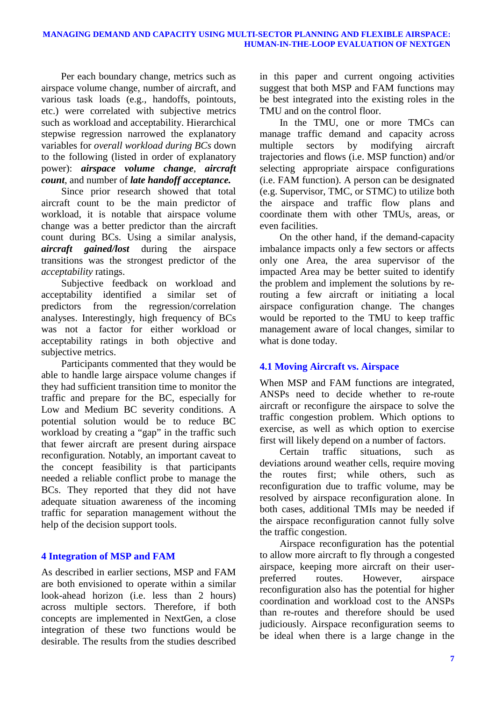Per each boundary change, metrics such as airspace volume change, number of aircraft, and various task loads (e.g., handoffs, pointouts, etc.) were correlated with subjective metrics such as workload and acceptability. Hierarchical stepwise regression narrowed the explanatory variables for *overall workload during BCs* down to the following (listed in order of explanatory power): *airspace volume change*, *aircraft count*, and number of *late handoff acceptance.*

Since prior research showed that total aircraft count to be the main predictor of workload, it is notable that airspace volume change was a better predictor than the aircraft count during BCs. Using a similar analysis, *aircraft gained/lost* during the airspace transitions was the strongest predictor of the *acceptability* ratings.

Subjective feedback on workload and acceptability identified a similar set of predictors from the regression/correlation analyses. Interestingly, high frequency of BCs was not a factor for either workload or acceptability ratings in both objective and subjective metrics.

Participants commented that they would be able to handle large airspace volume changes if they had sufficient transition time to monitor the traffic and prepare for the BC, especially for Low and Medium BC severity conditions. A potential solution would be to reduce BC workload by creating a "gap" in the traffic such that fewer aircraft are present during airspace reconfiguration. Notably, an important caveat to the concept feasibility is that participants needed a reliable conflict probe to manage the BCs. They reported that they did not have adequate situation awareness of the incoming traffic for separation management without the help of the decision support tools.

# **4 Integration of MSP and FAM**

As described in earlier sections, MSP and FAM are both envisioned to operate within a similar look-ahead horizon (i.e. less than 2 hours) across multiple sectors. Therefore, if both concepts are implemented in NextGen, a close integration of these two functions would be desirable. The results from the studies described in this paper and current ongoing activities suggest that both MSP and FAM functions may be best integrated into the existing roles in the TMU and on the control floor.

In the TMU, one or more TMCs can manage traffic demand and capacity across multiple sectors by modifying aircraft trajectories and flows (i.e. MSP function) and/or selecting appropriate airspace configurations (i.e. FAM function). A person can be designated (e.g. Supervisor, TMC, or STMC) to utilize both the airspace and traffic flow plans and coordinate them with other TMUs, areas, or even facilities.

On the other hand, if the demand-capacity imbalance impacts only a few sectors or affects only one Area, the area supervisor of the impacted Area may be better suited to identify the problem and implement the solutions by rerouting a few aircraft or initiating a local airspace configuration change. The changes would be reported to the TMU to keep traffic management aware of local changes, similar to what is done today.

# **4.1 Moving Aircraft vs. Airspace**

When MSP and FAM functions are integrated, ANSPs need to decide whether to re-route aircraft or reconfigure the airspace to solve the traffic congestion problem. Which options to exercise, as well as which option to exercise first will likely depend on a number of factors.

Certain traffic situations, such as deviations around weather cells, require moving the routes first; while others, such as reconfiguration due to traffic volume, may be resolved by airspace reconfiguration alone. In both cases, additional TMIs may be needed if the airspace reconfiguration cannot fully solve the traffic congestion.

Airspace reconfiguration has the potential to allow more aircraft to fly through a congested airspace, keeping more aircraft on their userpreferred routes. However, airspace reconfiguration also has the potential for higher coordination and workload cost to the ANSPs than re-routes and therefore should be used judiciously. Airspace reconfiguration seems to be ideal when there is a large change in the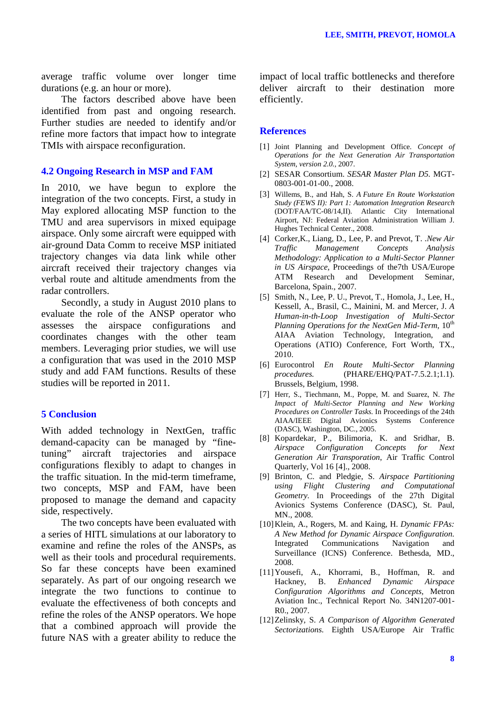average traffic volume over longer time durations (e.g. an hour or more).

The factors described above have been identified from past and ongoing research. Further studies are needed to identify and/or refine more factors that impact how to integrate TMIs with airspace reconfiguration.

### **4.2 Ongoing Research in MSP and FAM**

In 2010, we have begun to explore the integration of the two concepts. First, a study in May explored allocating MSP function to the TMU and area supervisors in mixed equipage airspace. Only some aircraft were equipped with air-ground Data Comm to receive MSP initiated trajectory changes via data link while other aircraft received their trajectory changes via verbal route and altitude amendments from the radar controllers.

Secondly, a study in August 2010 plans to evaluate the role of the ANSP operator who assesses the airspace configurations and coordinates changes with the other team members. Leveraging prior studies, we will use a configuration that was used in the 2010 MSP study and add FAM functions. Results of these studies will be reported in 2011.

### **5 Conclusion**

With added technology in NextGen, traffic demand-capacity can be managed by "finetuning" aircraft trajectories and airspace configurations flexibly to adapt to changes in the traffic situation. In the mid-term timeframe, two concepts, MSP and FAM, have been proposed to manage the demand and capacity side, respectively.

The two concepts have been evaluated with a series of HITL simulations at our laboratory to examine and refine the roles of the ANSPs, as well as their tools and procedural requirements. So far these concepts have been examined separately. As part of our ongoing research we integrate the two functions to continue to evaluate the effectiveness of both concepts and refine the roles of the ANSP operators. We hope that a combined approach will provide the future NAS with a greater ability to reduce the impact of local traffic bottlenecks and therefore deliver aircraft to their destination more efficiently.

#### **References**

- [1] Joint Planning and Development Office. *Concept of Operations for the Next Generation Air Transportation System, version 2.0.,* 2007.
- [2] SESAR Consortium. *SESAR Master Plan D5.* MGT-0803-001-01-00., 2008.
- [3] Willems, B., and Hah, S. *A Future En Route Workstation Study (FEWS II): Part 1: Automation Integration Research*  (DOT/FAA/TC-08/14,II). Atlantic City International Airport, NJ: Federal Aviation Administration William J. Hughes Technical Center., 2008.
- [4] Corker,K., Liang, D., Lee, P. and Prevot, T. .*New Air Traffic Management Concepts Analysis Methodology: Application to a Multi-Sector Planner in US Airspace,* Proceedings of the7th USA/Europe ATM Research and Development Seminar, Barcelona, Spain., 2007.
- [5] Smith, N., Lee, P. U., Prevot, T., Homola, J., Lee, H., Kessell, A., Brasil, C., Mainini, M. and Mercer, J. *A Human-in-th-Loop Investigation of Multi-Sector Planning Operations for the NextGen Mid-Term*,  $10^{th}$ AIAA Aviation Technology, Integration, and Operations (ATIO) Conference, Fort Worth, TX., 2010.
- [6] Eurocontrol *En Route Multi-Sector Planning procedures.* (PHARE/EHQ/PAT-7.5.2.1;1.1). Brussels, Belgium, 1998.
- [7] Herr, S., Tiechmann, M., Poppe, M. and Suarez, N. *The Impact of Multi-Sector Planning and New Working Procedures on Controller Tasks.* In Proceedings of the 24th AIAA/IEEE Digital Avionics Systems Conference (DASC), Washington, DC., 2005.
- [8] Kopardekar, P., Bilimoria, K. and Sridhar, B. *Airspace Configuration Concepts for Next Generation Air Transporation*, Air Traffic Control Quarterly, Vol 16 [4]., 2008.
- [9] Brinton, C. and Pledgie, S. *Airspace Partitioning using Flight Clustering and Computational Geometry.* In Proceedings of the 27th Digital Avionics Systems Conference (DASC), St. Paul, MN., 2008.
- [10]Klein, A., Rogers, M. and Kaing, H. *Dynamic FPAs: A New Method for Dynamic Airspace Configuration.* Integrated Communications Navigation and Surveillance (ICNS) Conference. Bethesda, MD., 2008.
- [11]Yousefi, A., Khorrami, B., Hoffman, R. and Hackney, B. *Enhanced Dynamic Airspace Configuration Algorithms and Concepts,* Metron Aviation Inc., Technical Report No. 34N1207-001- R0., 2007.
- [12]Zelinsky, S. *A Comparison of Algorithm Generated Sectorizations.* Eighth USA/Europe Air Traffic